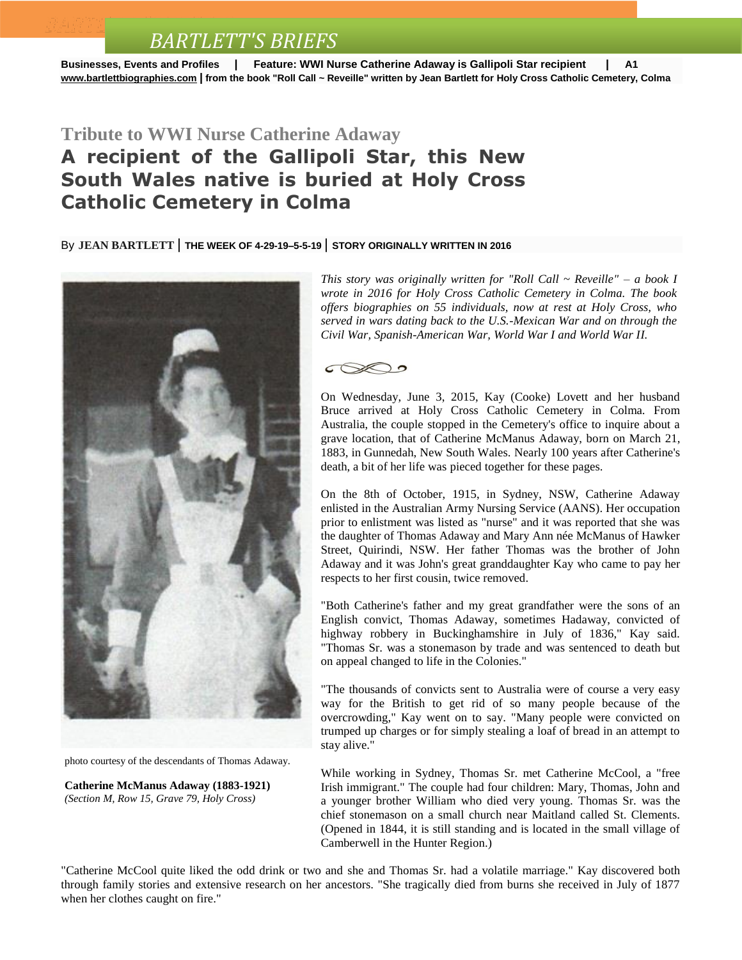## *BARTLETT'S BRIEFS*

**Businesses, Events and Profiles | Feature: WWI Nurse Catherine Adaway is Gallipoli Star recipient | A1 [www.bartlettbiographies.com](http://www.bartlettbiographies.com/) | from the book "Roll Call ~ Reveille" written by Jean Bartlett for [Holy Cross Catholic Cemetery, Colma](https://www.youtube.com/watch?v=sW_9xXEZkQw)**

## **Tribute to WWI Nurse Catherine Adaway A recipient of the Gallipoli Star, this New South Wales native is buried at Holy Cross Catholic Cemetery in Colma**

By **JEAN [BARTLETT](http://www.mercurynews.com/author/jean-bartlett/)** | **THE WEEK OF 4-29-19–5-5-19** | **STORY ORIGINALLY WRITTEN IN 2016**



photo courtesy of the descendants of Thomas Adaway.

**Catherine McManus Adaway (1883-1921)** *(Section M, Row 15, Grave 79, Holy Cross)*

*This story was originally written for "Roll Call ~ Reveille" – a book I wrote in 2016 for Holy Cross Catholic Cemetery in Colma. The book offers biographies on 55 individuals, now at rest at Holy Cross, who served in wars dating back to the U.S.-Mexican War and on through the Civil War, Spanish-American War, World War I and World War II.*



On Wednesday, June 3, 2015, Kay (Cooke) Lovett and her husband Bruce arrived at Holy Cross Catholic Cemetery in Colma. From Australia, the couple stopped in the Cemetery's office to inquire about a grave location, that of Catherine McManus Adaway, born on March 21, 1883, in Gunnedah, New South Wales. Nearly 100 years after Catherine's death, a bit of her life was pieced together for these pages.

On the 8th of October, 1915, in Sydney, NSW, Catherine Adaway enlisted in the Australian Army Nursing Service (AANS). Her occupation prior to enlistment was listed as "nurse" and it was reported that she was the daughter of Thomas Adaway and Mary Ann née McManus of Hawker Street, Quirindi, NSW. Her father Thomas was the brother of John Adaway and it was John's great granddaughter Kay who came to pay her respects to her first cousin, twice removed.

"Both Catherine's father and my great grandfather were the sons of an English convict, Thomas Adaway, sometimes Hadaway, convicted of highway robbery in Buckinghamshire in July of 1836," Kay said. "Thomas Sr. was a stonemason by trade and was sentenced to death but on appeal changed to life in the Colonies."

"The thousands of convicts sent to Australia were of course a very easy way for the British to get rid of so many people because of the overcrowding," Kay went on to say. "Many people were convicted on trumped up charges or for simply stealing a loaf of bread in an attempt to stay alive."

While working in Sydney, Thomas Sr. met Catherine McCool, a "free Irish immigrant." The couple had four children: Mary, Thomas, John and a younger brother William who died very young. Thomas Sr. was the chief stonemason on a small church near Maitland called St. Clements. (Opened in 1844, it is still standing and is located in the small village of Camberwell in the Hunter Region.)

"Catherine McCool quite liked the odd drink or two and she and Thomas Sr. had a volatile marriage." Kay discovered both through family stories and extensive research on her ancestors. "She tragically died from burns she received in July of 1877 when her clothes caught on fire."